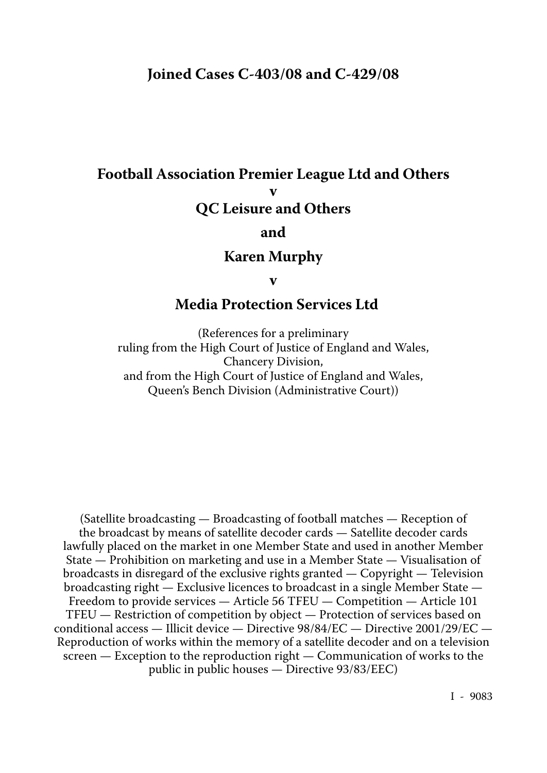# **Joined Cases C-403/08 and C-429/08**

# **Football Association Premier League Ltd and Others v QC Leisure and Others**

### **and**

### **Karen Murphy**

**v**

# **Media Protection Services Ltd**

(References for a preliminary ruling from the High Court of Justice of England and Wales, Chancery Division, and from the High Court of Justice of England and Wales, Queen's Bench Division (Administrative Court))

(Satellite broadcasting — Broadcasting of football matches — Reception of the broadcast by means of satellite decoder cards — Satellite decoder cards lawfully placed on the market in one Member State and used in another Member State — Prohibition on marketing and use in a Member State — Visualisation of broadcasts in disregard of the exclusive rights granted — Copyright — Television broadcasting right — Exclusive licences to broadcast in a single Member State — Freedom to provide services — Article 56 TFEU — Competition — Article 101 TFEU — Restriction of competition by object — Protection of services based on conditional access — Illicit device — Directive 98/84/EC — Directive 2001/29/EC — Reproduction of works within the memory of a satellite decoder and on a television screen — Exception to the reproduction right — Communication of works to the public in public houses — Directive 93/83/EEC)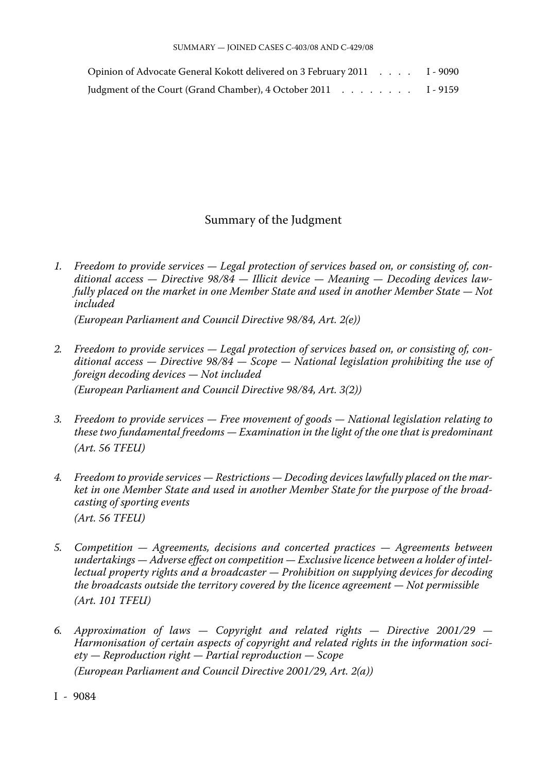| Opinion of Advocate General Kokott delivered on 3 February 2011 I - 9090 |  |
|--------------------------------------------------------------------------|--|
| Judgment of the Court (Grand Chamber), 4 October 2011 1 - 9159           |  |

#### Summary of the Judgment

*1. Freedom to provide services — Legal protection of services based on, or consisting of, con ditional access — Directive 98/84 — Illicit device — Meaning — Decoding devices law fully placed on the market in one Member State and used in another Member State — Not included*

*(European Parliament and Council Directive 98/84, Art. 2(e))*

- *2. Freedom to provide services Legal protection of services based on, or consisting of, con ditional access — Directive 98/84 — Scope — National legislation prohibiting the use of foreign decoding devices — Not included (European Parliament and Council Directive 98/84, Art. 3(2))*
- *3. Freedom to provide services Free movement of goods National legislation relating to these two fundamental freedoms — Examination in the light of the one that is predominant (Art. 56 TFEU)*
- *4. Freedom to provide services Restrictions Decoding devices lawfully placed on the mar ket in one Member State and used in another Member State for the purpose of the broad casting of sporting events (Art. 56 TFEU)*
- *5. Competition Agreements, decisions and concerted practices Agreements between undertakings — Adverse effect on competition — Exclusive licence between a holder of intel lectual property rights and a broadcaster — Prohibition on supplying devices for decoding the broadcasts outside the territory covered by the licence agreement — Not permissible (Art. 101 TFEU)*
- *6. Approximation of laws Copyright and related rights Directive 2001/29 Harmonisation of certain aspects of copyright and related rights in the information soci ety — Reproduction right — Partial reproduction — Scope (European Parliament and Council Directive 2001/29, Art. 2(a))*

I - 9084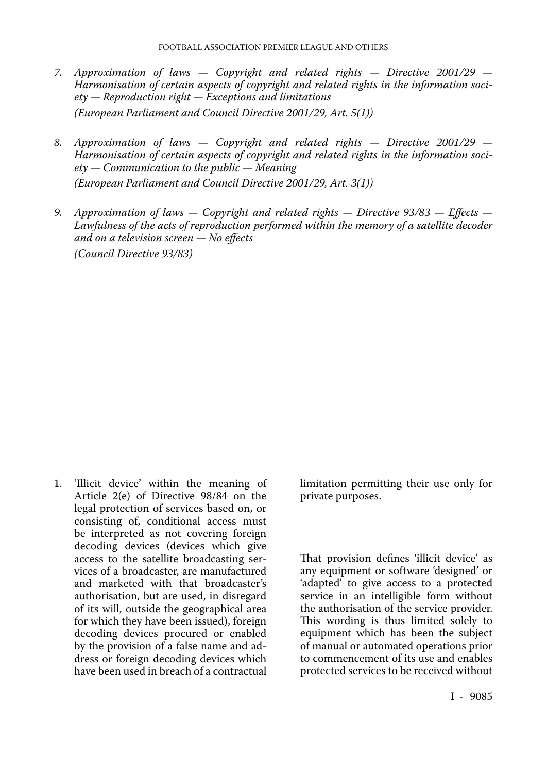- *7. Approximation of laws Copyright and related rights Directive 2001/29 Harmonisation of certain aspects of copyright and related rights in the information soci ety — Reproduction right — Exceptions and limitations (European Parliament and Council Directive 2001/29, Art. 5(1))*
- *8. Approximation of laws Copyright and related rights Directive 2001/29 Harmonisation of certain aspects of copyright and related rights in the information soci ety — Communication to the public — Meaning (European Parliament and Council Directive 2001/29, Art. 3(1))*
- *9. Approximation of laws Copyright and related rights Directive 93/83 Effects Lawfulness of the acts of reproduction performed within the memory of a satellite decoder and on a television screen — No effects (Council Directive 93/83)*

1. 'Illicit device' within the meaning of Article 2(e) of Directive 98/84 on the legal protection of services based on, or consisting of, conditional access must be interpreted as not covering foreign decoding devices (devices which give access to the satellite broadcasting ser vices of a broadcaster, are manufactured and marketed with that broadcaster's authorisation, but are used, in disregard of its will, outside the geographical area for which they have been issued), foreign decoding devices procured or enabled by the provision of a false name and ad dress or foreign decoding devices which have been used in breach of a contractual

limitation permitting their use only for private purposes.

That provision defines 'illicit device' as any equipment or software 'designed' or 'adapted' to give access to a protected service in an intelligible form without the authorisation of the service provider. This wording is thus limited solely to equipment which has been the subject of manual or automated operations prior to commencement of its use and enables protected services to be received without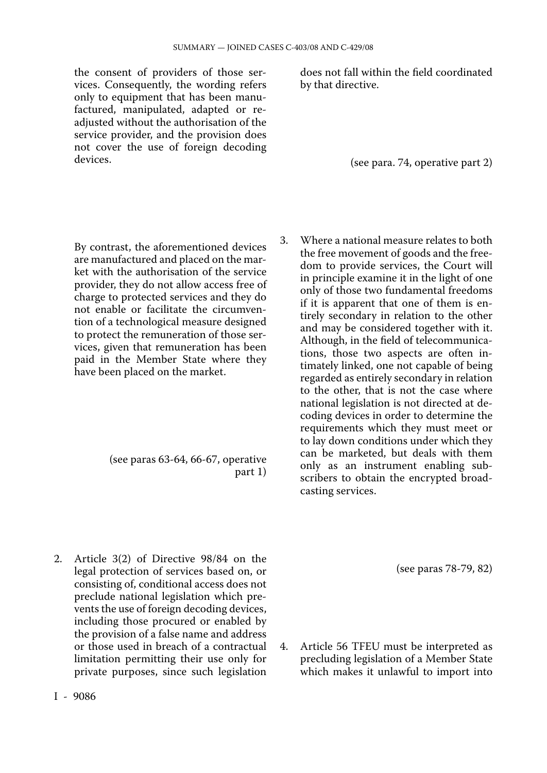the consent of providers of those ser vices. Consequently, the wording refers only to equipment that has been manu factured, manipulated, adapted or readjusted without the authorisation of the service provider, and the provision does not cover the use of foreign decoding devices.

does not fall within the field coordinated by that directive.

(see para. 74, operative part 2)

By contrast, the aforementioned devices are manufactured and placed on the mar ket with the authorisation of the service provider, they do not allow access free of charge to protected services and they do not enable or facilitate the circumven tion of a technological measure designed to protect the remuneration of those ser vices, given that remuneration has been paid in the Member State where they have been placed on the market.

> (see paras 63-64, 66-67, operative part 1)

2. Article 3(2) of Directive 98/84 on the legal protection of services based on, or consisting of, conditional access does not preclude national legislation which pre vents the use of foreign decoding devices, including those procured or enabled by the provision of a false name and address or those used in breach of a contractual limitation permitting their use only for private purposes, since such legislation 3. Where a national measure relates to both the free movement of goods and the free dom to provide services, the Court will in principle examine it in the light of one only of those two fundamental freedoms if it is apparent that one of them is en tirely secondary in relation to the other and may be considered together with it. Although, in the field of telecommunications, those two aspects are often intimately linked, one not capable of being regarded as entirely secondary in relation to the other, that is not the case where national legislation is not directed at de coding devices in order to determine the requirements which they must meet or to lay down conditions under which they can be marketed, but deals with them only as an instrument enabling subscribers to obtain the encrypted broad casting services.

(see paras 78-79, 82)

4. Article 56 TFEU must be interpreted as precluding legislation of a Member State which makes it unlawful to import into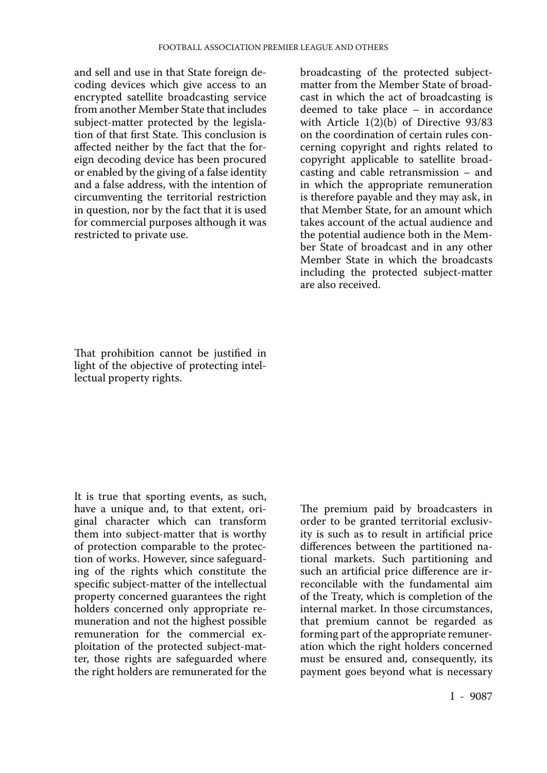and sell and use in that State foreign de coding devices which give access to an encrypted satellite broadcasting service from another Member State that includes subject-matter protected by the legisla tion of that first State. This conclusion is affected neither by the fact that the for eign decoding device has been procured or enabled by the giving of a false identity and a false address, with the intention of circumventing the territorial restriction in question, nor by the fact that it is used for commercial purposes although it was restricted to private use.

broadcasting of the protected subjectmatter from the Member State of broad cast in which the act of broadcasting is deemed to take place – in accordance with Article 1(2)(b) of Directive 93/83 on the coordination of certain rules con cerning copyright and rights related to copyright applicable to satellite broad casting and cable retransmission – and in which the appropriate remuneration is therefore payable and they may ask, in that Member State, for an amount which takes account of the actual audience and the potential audience both in the Mem ber State of broadcast and in any other Member State in which the broadcasts including the protected subject-matter are also received.

That prohibition cannot be justified in light of the objective of protecting intel lectual property rights.

It is true that sporting events, as such, have a unique and, to that extent, original character which can transform them into subject-matter that is worthy of protection comparable to the protec tion of works. However, since safeguard ing of the rights which constitute the specific subject-matter of the intellectual property concerned guarantees the right holders concerned only appropriate re muneration and not the highest possible remuneration for the commercial exploitation of the protected subject-mat ter, those rights are safeguarded where the right holders are remunerated for the

The premium paid by broadcasters in order to be granted territorial exclusiv ity is such as to result in artificial price differences between the partitioned na tional markets. Such partitioning and such an artificial price difference are ir reconcilable with the fundamental aim of the Treaty, which is completion of the internal market. In those circumstances, that premium cannot be regarded as forming part of the appropriate remuner ation which the right holders concerned must be ensured and, consequently, its payment goes beyond what is necessary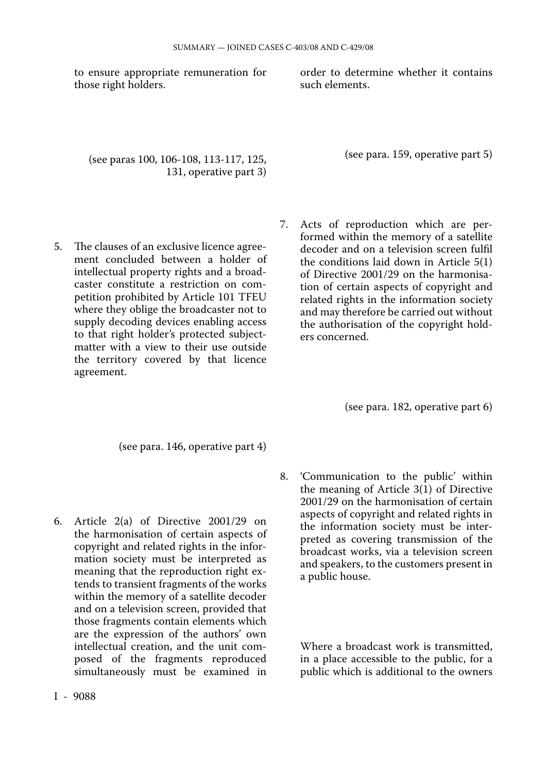to ensure appropriate remuneration for those right holders.

order to determine whether it contains such elements.

(see paras 100, 106-108, 113-117, 125, 131, operative part 3) (see para. 159, operative part 5)

- 5. The clauses of an exclusive licence agree ment concluded between a holder of intellectual property rights and a broad caster constitute a restriction on com petition prohibited by Article 101 TFEU where they oblige the broadcaster not to supply decoding devices enabling access to that right holder's protected subjectmatter with a view to their use outside the territory covered by that licence agreement.
- 7. Acts of reproduction which are per formed within the memory of a satellite decoder and on a television screen fulfil the conditions laid down in Article 5(1) of Directive 2001/29 on the harmonisa tion of certain aspects of copyright and related rights in the information society and may therefore be carried out without the authorisation of the copyright hold ers concerned.

(see para. 182, operative part 6)

(see para. 146, operative part 4)

- 6. Article 2(a) of Directive 2001/29 on the harmonisation of certain aspects of copyright and related rights in the infor mation society must be interpreted as meaning that the reproduction right ex tends to transient fragments of the works within the memory of a satellite decoder and on a television screen, provided that those fragments contain elements which are the expression of the authors' own intellectual creation, and the unit composed of the fragments reproduced simultaneously must be examined in
- 8. 'Communication to the public' within the meaning of Article 3(1) of Directive 2001/29 on the harmonisation of certain aspects of copyright and related rights in the information society must be inter preted as covering transmission of the broadcast works, via a television screen and speakers, to the customers present in a public house.

Where a broadcast work is transmitted, in a place accessible to the public, for a public which is additional to the owners